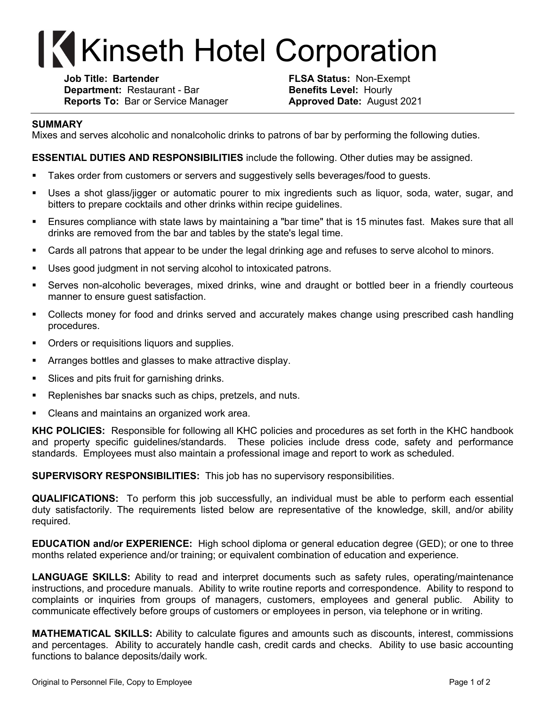## **Kinseth Hotel Corporation**

**Job Title: Bartender FLSA Status:** Non-Exempt **Department:** Restaurant - Bar **Benefits Level:** Hourly **Reports To:** Bar or Service Manager **Approved Date:** August 2021

## **SUMMARY**

Mixes and serves alcoholic and nonalcoholic drinks to patrons of bar by performing the following duties.

**ESSENTIAL DUTIES AND RESPONSIBILITIES** include the following. Other duties may be assigned.

- **•** Takes order from customers or servers and suggestively sells beverages/food to guests.
- Uses a shot glass/jigger or automatic pourer to mix ingredients such as liquor, soda, water, sugar, and bitters to prepare cocktails and other drinks within recipe guidelines.
- § Ensures compliance with state laws by maintaining a "bar time" that is 15 minutes fast. Makes sure that all drinks are removed from the bar and tables by the state's legal time.
- Cards all patrons that appear to be under the legal drinking age and refuses to serve alcohol to minors.
- Uses good judgment in not serving alcohol to intoxicated patrons.
- § Serves non-alcoholic beverages, mixed drinks, wine and draught or bottled beer in a friendly courteous manner to ensure guest satisfaction.
- Collects money for food and drinks served and accurately makes change using prescribed cash handling procedures.
- Orders or requisitions liquors and supplies.
- Arranges bottles and glasses to make attractive display.
- Slices and pits fruit for garnishing drinks.
- Replenishes bar snacks such as chips, pretzels, and nuts.
- Cleans and maintains an organized work area.

**KHC POLICIES:** Responsible for following all KHC policies and procedures as set forth in the KHC handbook and property specific guidelines/standards. These policies include dress code, safety and performance standards. Employees must also maintain a professional image and report to work as scheduled.

**SUPERVISORY RESPONSIBILITIES:** This job has no supervisory responsibilities.

**QUALIFICATIONS:** To perform this job successfully, an individual must be able to perform each essential duty satisfactorily. The requirements listed below are representative of the knowledge, skill, and/or ability required.

**EDUCATION and/or EXPERIENCE:** High school diploma or general education degree (GED); or one to three months related experience and/or training; or equivalent combination of education and experience.

**LANGUAGE SKILLS:** Ability to read and interpret documents such as safety rules, operating/maintenance instructions, and procedure manuals. Ability to write routine reports and correspondence. Ability to respond to complaints or inquiries from groups of managers, customers, employees and general public. Ability to communicate effectively before groups of customers or employees in person, via telephone or in writing.

**MATHEMATICAL SKILLS:** Ability to calculate figures and amounts such as discounts, interest, commissions and percentages. Ability to accurately handle cash, credit cards and checks. Ability to use basic accounting functions to balance deposits/daily work.